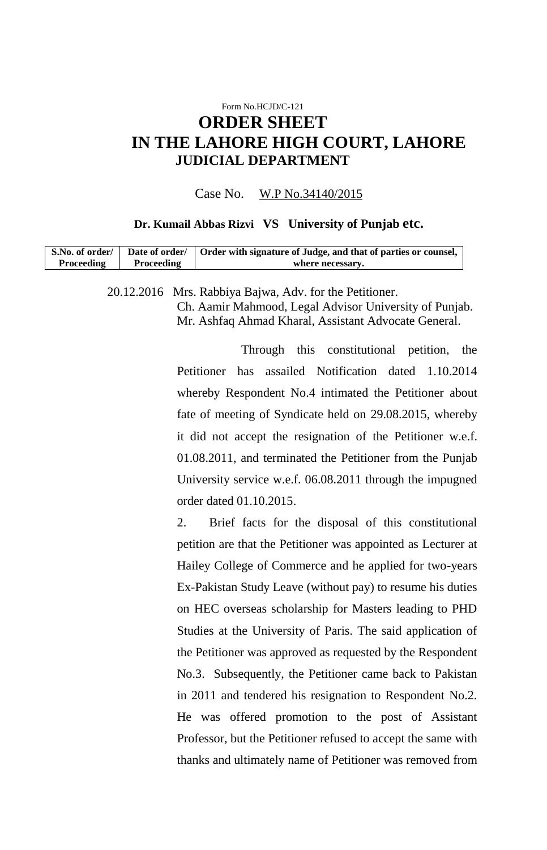# Form No.HCJD/C-121 **ORDER SHEET IN THE LAHORE HIGH COURT, LAHORE JUDICIAL DEPARTMENT**

#### Case No. W.P No.34140/2015

#### **Dr. Kumail Abbas Rizvi VS University of Punjab etc.**

| S.No. of order/<br>Proceeding | Date of order/<br>Proceeding | Order with signature of Judge, and that of parties or counsel,<br>where necessary. |  |
|-------------------------------|------------------------------|------------------------------------------------------------------------------------|--|
|                               |                              | 20.12.2016 Mrs. Rabbiya Bajwa, Adv. for the Petitioner.                            |  |
|                               |                              | Ch. Aamir Mahmood, Legal Advisor University of Punjab.                             |  |
|                               |                              | Mr. Ashfaq Ahmad Kharal, Assistant Advocate General.                               |  |

Through this constitutional petition, the Petitioner has assailed Notification dated 1.10.2014 whereby Respondent No.4 intimated the Petitioner about fate of meeting of Syndicate held on 29.08.2015, whereby it did not accept the resignation of the Petitioner w.e.f. 01.08.2011, and terminated the Petitioner from the Punjab University service w.e.f. 06.08.2011 through the impugned order dated 01.10.2015.

2. Brief facts for the disposal of this constitutional petition are that the Petitioner was appointed as Lecturer at Hailey College of Commerce and he applied for two-years Ex-Pakistan Study Leave (without pay) to resume his duties on HEC overseas scholarship for Masters leading to PHD Studies at the University of Paris. The said application of the Petitioner was approved as requested by the Respondent No.3. Subsequently, the Petitioner came back to Pakistan in 2011 and tendered his resignation to Respondent No.2. He was offered promotion to the post of Assistant Professor, but the Petitioner refused to accept the same with thanks and ultimately name of Petitioner was removed from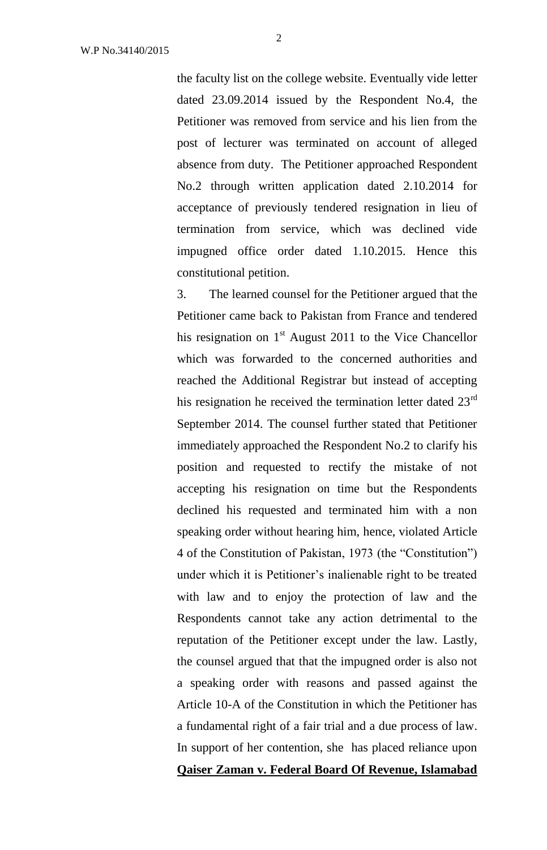the faculty list on the college website. Eventually vide letter dated 23.09.2014 issued by the Respondent No.4, the Petitioner was removed from service and his lien from the post of lecturer was terminated on account of alleged absence from duty. The Petitioner approached Respondent No.2 through written application dated 2.10.2014 for acceptance of previously tendered resignation in lieu of termination from service, which was declined vide impugned office order dated 1.10.2015. Hence this constitutional petition.

3. The learned counsel for the Petitioner argued that the Petitioner came back to Pakistan from France and tendered his resignation on  $1<sup>st</sup>$  August 2011 to the Vice Chancellor which was forwarded to the concerned authorities and reached the Additional Registrar but instead of accepting his resignation he received the termination letter dated  $23<sup>rd</sup>$ September 2014. The counsel further stated that Petitioner immediately approached the Respondent No.2 to clarify his position and requested to rectify the mistake of not accepting his resignation on time but the Respondents declined his requested and terminated him with a non speaking order without hearing him, hence, violated Article 4 of the Constitution of Pakistan, 1973 (the "Constitution") under which it is Petitioner's inalienable right to be treated with law and to enjoy the protection of law and the Respondents cannot take any action detrimental to the reputation of the Petitioner except under the law. Lastly, the counsel argued that that the impugned order is also not a speaking order with reasons and passed against the Article 10-A of the Constitution in which the Petitioner has a fundamental right of a fair trial and a due process of law. In support of her contention, she has placed reliance upon **Qaiser Zaman v. Federal Board Of Revenue, Islamabad**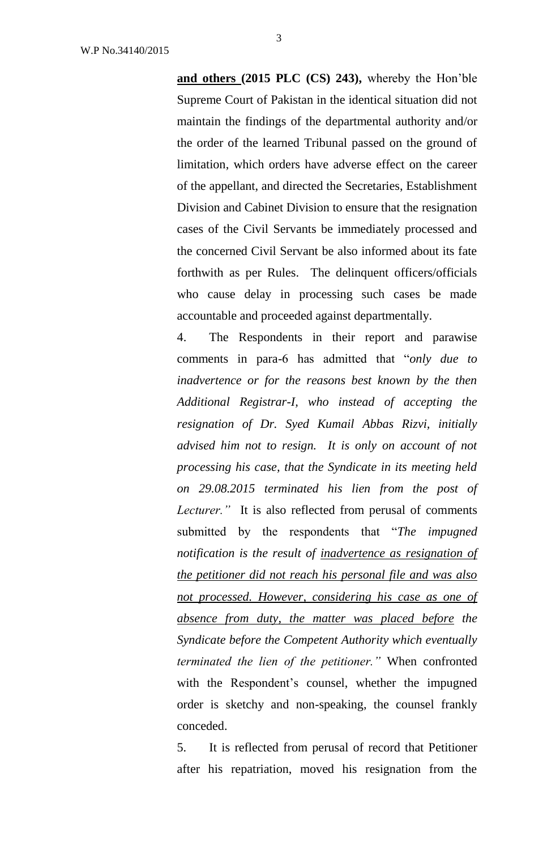**and others (2015 PLC (CS) 243),** whereby the Hon'ble Supreme Court of Pakistan in the identical situation did not maintain the findings of the departmental authority and/or the order of the learned Tribunal passed on the ground of limitation, which orders have adverse effect on the career of the appellant, and directed the Secretaries, Establishment Division and Cabinet Division to ensure that the resignation cases of the Civil Servants be immediately processed and the concerned Civil Servant be also informed about its fate forthwith as per Rules. The delinquent officers/officials who cause delay in processing such cases be made accountable and proceeded against departmentally.

4. The Respondents in their report and parawise comments in para-6 has admitted that "*only due to inadvertence or for the reasons best known by the then Additional Registrar-I, who instead of accepting the resignation of Dr. Syed Kumail Abbas Rizvi, initially advised him not to resign. It is only on account of not processing his case, that the Syndicate in its meeting held on 29.08.2015 terminated his lien from the post of Lecturer."* It is also reflected from perusal of comments submitted by the respondents that "*The impugned notification is the result of inadvertence as resignation of the petitioner did not reach his personal file and was also not processed. However, considering his case as one of absence from duty, the matter was placed before the Syndicate before the Competent Authority which eventually terminated the lien of the petitioner."* When confronted with the Respondent's counsel, whether the impugned order is sketchy and non-speaking, the counsel frankly conceded.

5. It is reflected from perusal of record that Petitioner after his repatriation, moved his resignation from the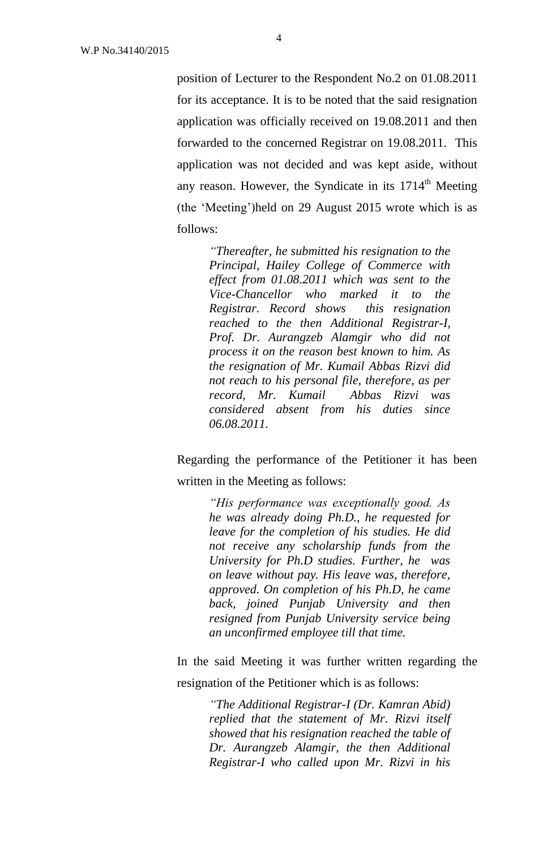position of Lecturer to the Respondent No.2 on 01.08.2011 for its acceptance. It is to be noted that the said resignation application was officially received on 19.08.2011 and then forwarded to the concerned Registrar on 19.08.2011. This application was not decided and was kept aside, without any reason. However, the Syndicate in its  $1714<sup>th</sup>$  Meeting (the 'Meeting')held on 29 August 2015 wrote which is as follows:

> *"Thereafter, he submitted his resignation to the Principal, Hailey College of Commerce with effect from 01.08.2011 which was sent to the Vice-Chancellor who marked it to the Registrar. Record shows this resignation reached to the then Additional Registrar-I, Prof. Dr. Aurangzeb Alamgir who did not process it on the reason best known to him. As the resignation of Mr. Kumail Abbas Rizvi did not reach to his personal file, therefore, as per record, Mr. Kumail Abbas Rizvi was considered absent from his duties since 06.08.2011.*

Regarding the performance of the Petitioner it has been written in the Meeting as follows:

> *"His performance was exceptionally good. As he was already doing Ph.D., he requested for leave for the completion of his studies. He did not receive any scholarship funds from the University for Ph.D studies. Further, he was on leave without pay. His leave was, therefore, approved. On completion of his Ph.D, he came back, joined Punjab University and then resigned from Punjab University service being an unconfirmed employee till that time.*

In the said Meeting it was further written regarding the resignation of the Petitioner which is as follows:

> *"The Additional Registrar-I (Dr. Kamran Abid) replied that the statement of Mr. Rizvi itself showed that his resignation reached the table of Dr. Aurangzeb Alamgir, the then Additional Registrar-I who called upon Mr. Rizvi in his*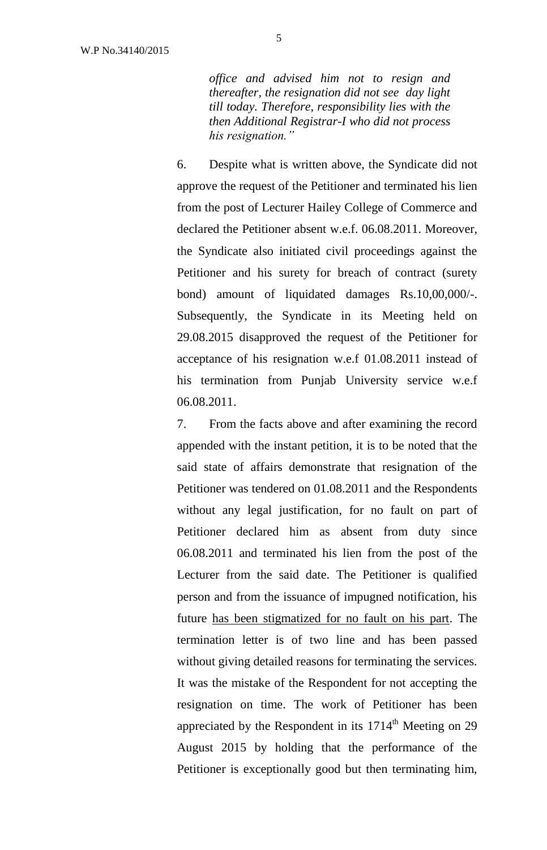*office and advised him not to resign and thereafter, the resignation did not see day light till today. Therefore, responsibility lies with the then Additional Registrar-I who did not process his resignation."* 

6. Despite what is written above, the Syndicate did not approve the request of the Petitioner and terminated his lien from the post of Lecturer Hailey College of Commerce and declared the Petitioner absent w.e.f. 06.08.2011. Moreover, the Syndicate also initiated civil proceedings against the Petitioner and his surety for breach of contract (surety bond) amount of liquidated damages Rs.10,00,000/-. Subsequently, the Syndicate in its Meeting held on 29.08.2015 disapproved the request of the Petitioner for acceptance of his resignation w.e.f 01.08.2011 instead of his termination from Punjab University service w.e.f 06.08.2011.

7. From the facts above and after examining the record appended with the instant petition, it is to be noted that the said state of affairs demonstrate that resignation of the Petitioner was tendered on 01.08.2011 and the Respondents without any legal justification, for no fault on part of Petitioner declared him as absent from duty since 06.08.2011 and terminated his lien from the post of the Lecturer from the said date. The Petitioner is qualified person and from the issuance of impugned notification, his future has been stigmatized for no fault on his part. The termination letter is of two line and has been passed without giving detailed reasons for terminating the services. It was the mistake of the Respondent for not accepting the resignation on time. The work of Petitioner has been appreciated by the Respondent in its  $1714<sup>th</sup>$  Meeting on 29 August 2015 by holding that the performance of the Petitioner is exceptionally good but then terminating him,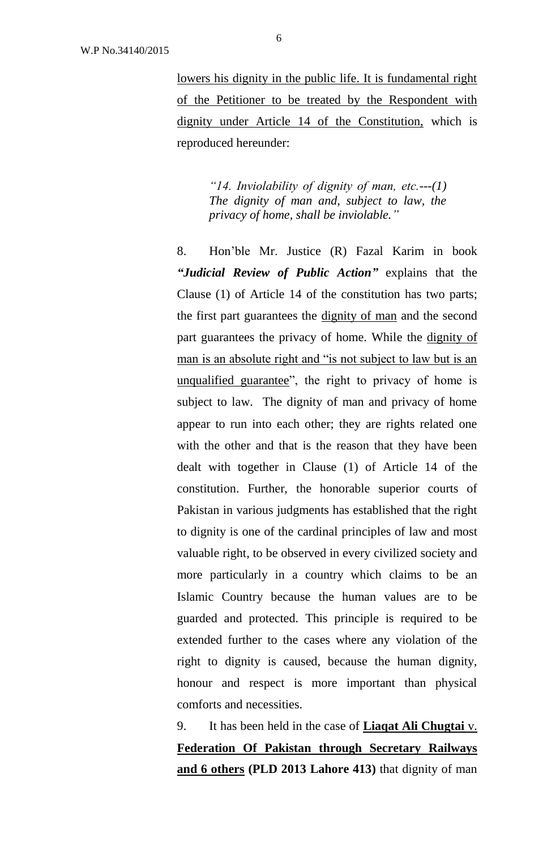lowers his dignity in the public life. It is fundamental right of the Petitioner to be treated by the Respondent with dignity under Article 14 of the Constitution, which is reproduced hereunder:

> *"14. Inviolability of dignity of man, etc.---(1) The dignity of man and, subject to law, the privacy of home, shall be inviolable."*

8. Hon'ble Mr. Justice (R) Fazal Karim in book *"Judicial Review of Public Action"* explains that the Clause (1) of Article 14 of the constitution has two parts; the first part guarantees the dignity of man and the second part guarantees the privacy of home. While the dignity of man is an absolute right and "is not subject to law but is an unqualified guarantee", the right to privacy of home is subject to law. The dignity of man and privacy of home appear to run into each other; they are rights related one with the other and that is the reason that they have been dealt with together in Clause (1) of Article 14 of the constitution. Further, the honorable superior courts of Pakistan in various judgments has established that the right to dignity is one of the cardinal principles of law and most valuable right, to be observed in every civilized society and more particularly in a country which claims to be an Islamic Country because the human values are to be guarded and protected. This principle is required to be extended further to the cases where any violation of the right to dignity is caused, because the human dignity, honour and respect is more important than physical comforts and necessities.

9. It has been held in the case of **Liaqat Ali Chugtai** v. **Federation Of Pakistan through Secretary Railways and 6 others (PLD 2013 Lahore 413)** that dignity of man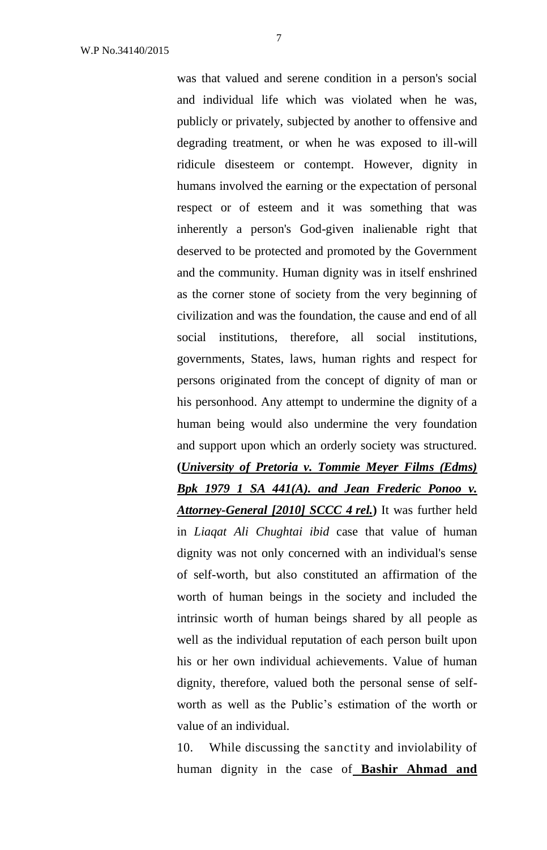was that valued and serene condition in a person's social and individual life which was violated when he was, publicly or privately, subjected by another to offensive and degrading treatment, or when he was exposed to ill-will ridicule disesteem or contempt. However, dignity in humans involved the earning or the expectation of personal respect or of esteem and it was something that was inherently a person's God-given inalienable right that deserved to be protected and promoted by the Government and the community. Human dignity was in itself enshrined as the corner stone of society from the very beginning of civilization and was the foundation, the cause and end of all social institutions, therefore, all social institutions, governments, States, laws, human rights and respect for persons originated from the concept of dignity of man or his personhood. Any attempt to undermine the dignity of a human being would also undermine the very foundation and support upon which an orderly society was structured. **(***University of Pretoria v. Tommie Meyer Films (Edms) Bpk 1979 1 SA 441(A). and Jean Frederic Ponoo v. Attorney-General [2010] SCCC 4 rel.***)** It was further held in *Liaqat Ali Chughtai ibid* case that value of human dignity was not only concerned with an individual's sense of self-worth, but also constituted an affirmation of the worth of human beings in the society and included the intrinsic worth of human beings shared by all people as well as the individual reputation of each person built upon his or her own individual achievements. Value of human dignity, therefore, valued both the personal sense of selfworth as well as the Public's estimation of the worth or value of an individual.

10. While discussing the sanctity and inviolability of human dignity in the case of **Bashir Ahmad and**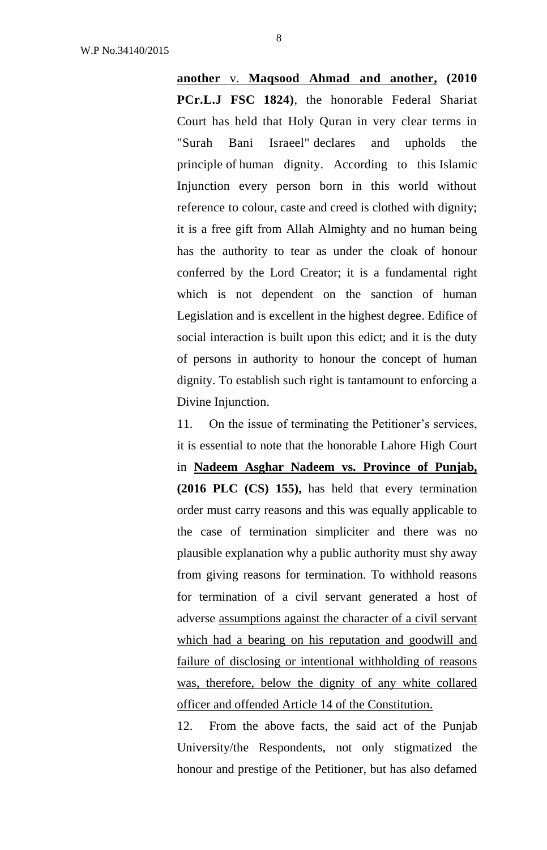**another** v. **Maqsood Ahmad and another, (2010 PCr.L.J FSC 1824)**, the honorable Federal Shariat Court has held that Holy Quran in very clear terms in "Surah Bani Israeel" declares and upholds the principle of human dignity. According to this Islamic Injunction every person born in this world without reference to colour, caste and creed is clothed with dignity; it is a free gift from Allah Almighty and no human being has the authority to tear as under the cloak of honour conferred by the Lord Creator; it is a fundamental right which is not dependent on the sanction of human Legislation and is excellent in the highest degree. Edifice of social interaction is built upon this edict; and it is the duty of persons in authority to honour the concept of human dignity. To establish such right is tantamount to enforcing a Divine Injunction.

11. On the issue of terminating the Petitioner's services, it is essential to note that the honorable Lahore High Court in **Nadeem Asghar Nadeem vs. Province of Punjab, (2016 PLC (CS) 155),** has held that every termination order must carry reasons and this was equally applicable to the case of termination simpliciter and there was no plausible explanation why a public authority must shy away from giving reasons for termination. To withhold reasons for termination of a civil servant generated a host of adverse assumptions against the character of a civil servant which had a bearing on his reputation and goodwill and failure of disclosing or intentional withholding of reasons was, therefore, below the dignity of any white collared officer and offended Article 14 of the Constitution.

12. From the above facts, the said act of the Punjab University/the Respondents, not only stigmatized the honour and prestige of the Petitioner, but has also defamed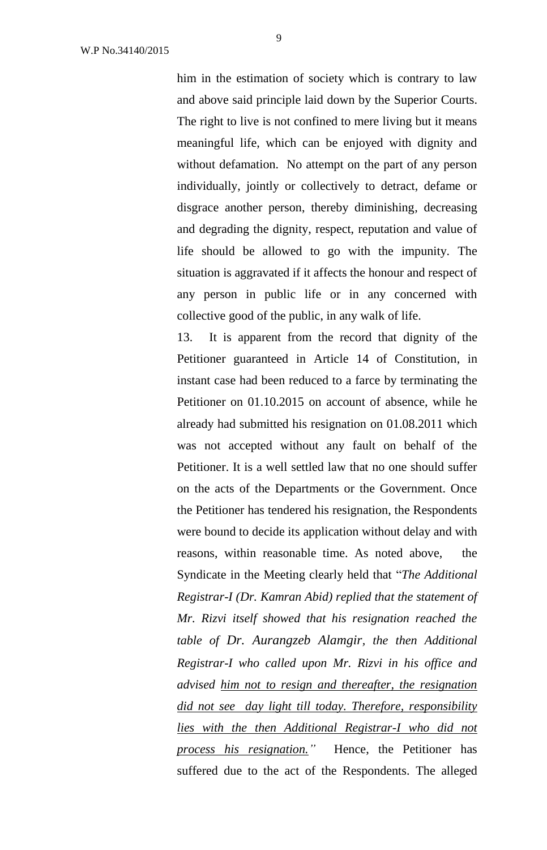him in the estimation of society which is contrary to law and above said principle laid down by the Superior Courts. The right to live is not confined to mere living but it means meaningful life, which can be enjoyed with dignity and without defamation. No attempt on the part of any person individually, jointly or collectively to detract, defame or disgrace another person, thereby diminishing, decreasing and degrading the dignity, respect, reputation and value of life should be allowed to go with the impunity. The situation is aggravated if it affects the honour and respect of any person in public life or in any concerned with collective good of the public, in any walk of life.

13. It is apparent from the record that dignity of the Petitioner guaranteed in Article 14 of Constitution, in instant case had been reduced to a farce by terminating the Petitioner on 01.10.2015 on account of absence, while he already had submitted his resignation on 01.08.2011 which was not accepted without any fault on behalf of the Petitioner. It is a well settled law that no one should suffer on the acts of the Departments or the Government. Once the Petitioner has tendered his resignation, the Respondents were bound to decide its application without delay and with reasons, within reasonable time. As noted above, the Syndicate in the Meeting clearly held that "*The Additional Registrar-I (Dr. Kamran Abid) replied that the statement of Mr. Rizvi itself showed that his resignation reached the table of Dr. Aurangzeb Alamgir, the then Additional Registrar-I who called upon Mr. Rizvi in his office and advised him not to resign and thereafter, the resignation did not see day light till today. Therefore, responsibility lies with the then Additional Registrar-I who did not process his resignation."* Hence, the Petitioner has suffered due to the act of the Respondents. The alleged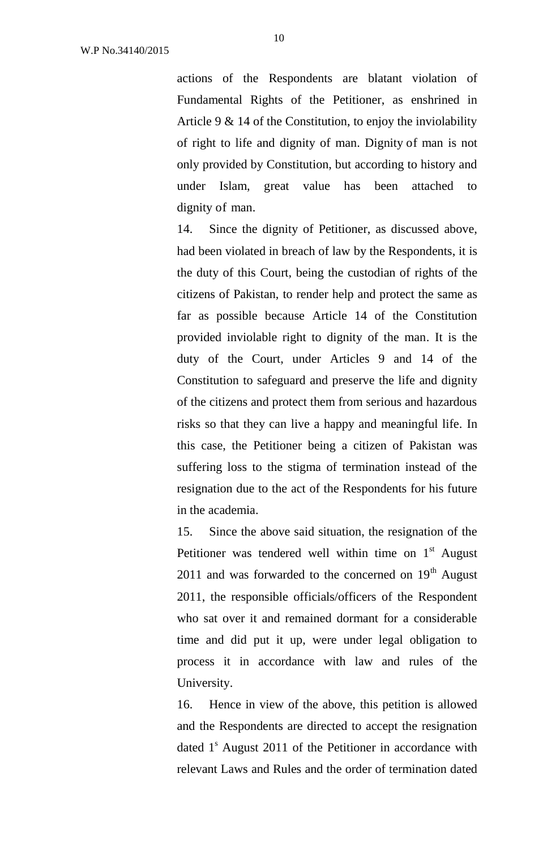actions of the Respondents are blatant violation of Fundamental Rights of the Petitioner, as enshrined in Article 9 & 14 of the Constitution, to enjoy the inviolability of right to life and dignity of man. Dignity of man is not only provided by Constitution, but according to history and under Islam, great value has been attached to dignity of man.

14. Since the dignity of Petitioner, as discussed above, had been violated in breach of law by the Respondents, it is the duty of this Court, being the custodian of rights of the citizens of Pakistan, to render help and protect the same as far as possible because Article 14 of the Constitution provided inviolable right to dignity of the man. It is the duty of the Court, under Articles 9 and 14 of the Constitution to safeguard and preserve the life and dignity of the citizens and protect them from serious and hazardous risks so that they can live a happy and meaningful life. In this case, the Petitioner being a citizen of Pakistan was suffering loss to the stigma of termination instead of the resignation due to the act of the Respondents for his future in the academia.

15. Since the above said situation, the resignation of the Petitioner was tendered well within time on  $1<sup>st</sup>$  August 2011 and was forwarded to the concerned on  $19<sup>th</sup>$  August 2011, the responsible officials/officers of the Respondent who sat over it and remained dormant for a considerable time and did put it up, were under legal obligation to process it in accordance with law and rules of the University.

16. Hence in view of the above, this petition is allowed and the Respondents are directed to accept the resignation dated  $1<sup>s</sup>$  August 2011 of the Petitioner in accordance with relevant Laws and Rules and the order of termination dated